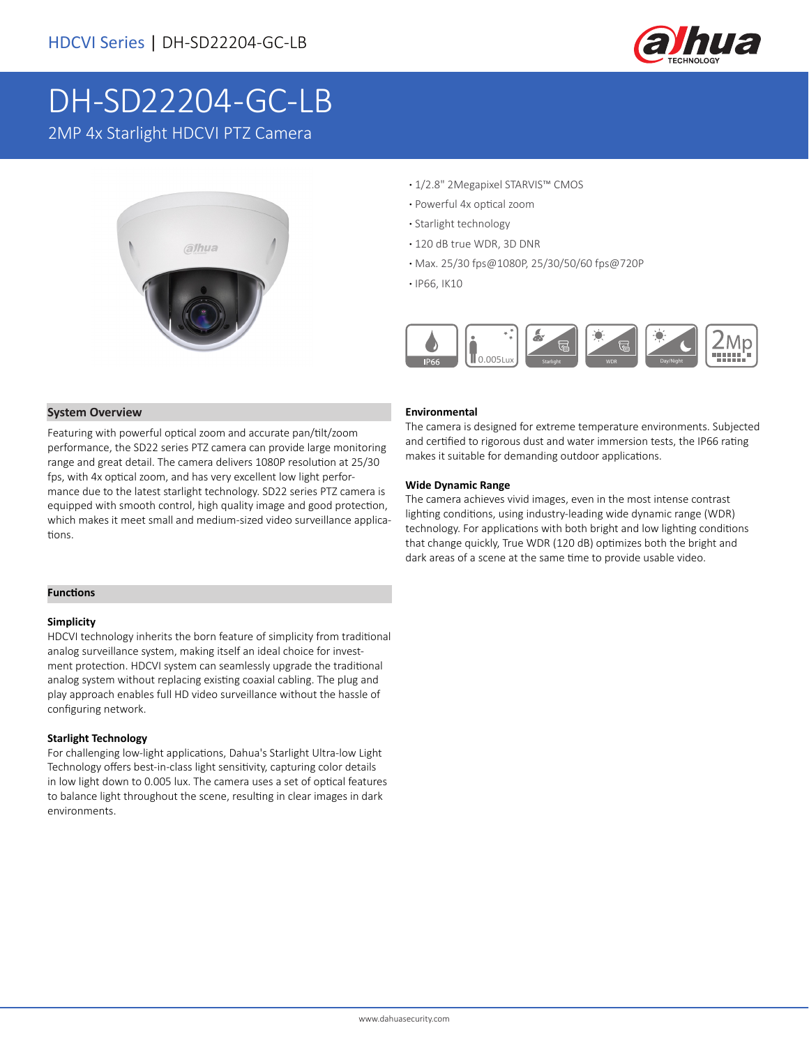

# DH-SD22204-GC-LB

2MP 4x Starlight HDCVI PTZ Camera



- **·** 1/2.8" 2Megapixel STARVIS™ CMOS
- **·** Powerful 4x optical zoom
- **·** Starlight technology
- **·** 120 dB true WDR, 3D DNR
- **·** Max. 25/30 fps@1080P, 25/30/50/60 fps@720P
- **·** IP66, IK10



### **System Overview**

Featuring with powerful optical zoom and accurate pan/tilt/zoom performance, the SD22 series PTZ camera can provide large monitoring range and great detail. The camera delivers 1080P resolution at 25/30 fps, with 4x optical zoom, and has very excellent low light performance due to the latest starlight technology. SD22 series PTZ camera is equipped with smooth control, high quality image and good protection, which makes it meet small and medium-sized video surveillance applications.

### **Functions**

#### **Simplicity**

HDCVI technology inherits the born feature of simplicity from traditional analog surveillance system, making itself an ideal choice for investment protection. HDCVI system can seamlessly upgrade the traditional analog system without replacing existing coaxial cabling. The plug and play approach enables full HD video surveillance without the hassle of configuring network.

### **Starlight Technology**

For challenging low-light applications, Dahua's Starlight Ultra-low Light Technology offers best-in-class light sensitivity, capturing color details in low light down to 0.005 lux. The camera uses a set of optical features to balance light throughout the scene, resulting in clear images in dark environments.

### **Environmental**

The camera is designed for extreme temperature environments. Subjected and certified to rigorous dust and water immersion tests, the IP66 rating makes it suitable for demanding outdoor applications.

### **Wide Dynamic Range**

The camera achieves vivid images, even in the most intense contrast lighting conditions, using industry-leading wide dynamic range (WDR) technology. For applications with both bright and low lighting conditions that change quickly, True WDR (120 dB) optimizes both the bright and dark areas of a scene at the same time to provide usable video.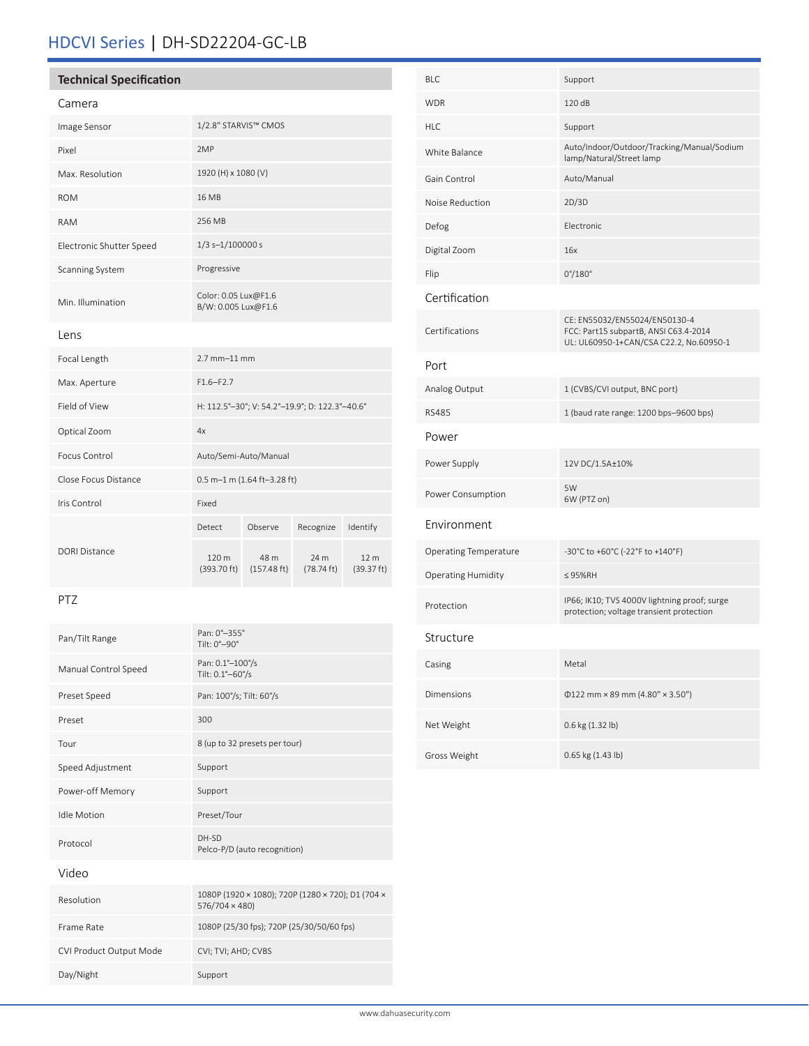# HDCVI Series | DH-SD22204-GC-LB

# **Technical Specification** Camera

| Calliera                 |                                             |
|--------------------------|---------------------------------------------|
| Image Sensor             | 1/2.8" STARVIS™ CMOS                        |
| Pixel                    | 2MP                                         |
| Max. Resolution          | 1920 (H) x 1080 (V)                         |
| <b>ROM</b>               | 16 MB                                       |
| <b>RAM</b>               | 256 MB                                      |
| Electronic Shutter Speed | $1/3$ s- $1/100000$ s                       |
| Scanning System          | Progressive                                 |
| Min. Illumination        | Color: 0.05 Lux@F1.6<br>B/W: 0.005 Lux@F1.6 |
| Lens                     |                                             |

| Focal Length         | $2.7$ mm $-11$ mm                              |                               |                              |                               |
|----------------------|------------------------------------------------|-------------------------------|------------------------------|-------------------------------|
| Max. Aperture        | $F1.6 - F2.7$                                  |                               |                              |                               |
| Field of View        | H: 112.5°-30°; V: 54.2°-19.9°; D: 122.3°-40.6° |                               |                              |                               |
| Optical Zoom         | 4x                                             |                               |                              |                               |
| Focus Control        | Auto/Semi-Auto/Manual                          |                               |                              |                               |
| Close Focus Distance | $0.5$ m-1 m (1.64 ft-3.28 ft)                  |                               |                              |                               |
| Iris Control         | Fixed                                          |                               |                              |                               |
|                      | Detect                                         | Observe                       | Recognize                    | Identify                      |
| DORI Distance        | 120 <sub>m</sub><br>(393.70 ft)                | 48 m<br>$(157.48 \text{ ft})$ | 24 m<br>$(78.74 \text{ ft})$ | 12 <sub>m</sub><br>(39.37 ft) |

### PTZ

| Pan/Tilt Range          | Pan: 0°-355°<br>Tilt: $0^\circ - 90^\circ$                          |
|-------------------------|---------------------------------------------------------------------|
| Manual Control Speed    | Pan: 0.1°-100°/s<br>Tilt: 0.1°-60°/s                                |
| Preset Speed            | Pan: 100°/s; Tilt: 60°/s                                            |
| Preset                  | 300                                                                 |
| Tour                    | 8 (up to 32 presets per tour)                                       |
| Speed Adjustment        | Support                                                             |
| Power-off Memory        | Support                                                             |
| <b>Idle Motion</b>      | Preset/Tour                                                         |
| Protocol                | DH-SD<br>Pelco-P/D (auto recognition)                               |
| Video                   |                                                                     |
| Resolution              | 1080P (1920 × 1080); 720P (1280 × 720); D1 (704 ×<br>576/704 × 480) |
| Frame Rate              | 1080P (25/30 fps); 720P (25/30/50/60 fps)                           |
| CVI Product Output Mode | CVI; TVI; AHD; CVBS                                                 |
| Day/Night               | Support                                                             |

| <b>BLC</b>                   | Support                                                                                                           |
|------------------------------|-------------------------------------------------------------------------------------------------------------------|
| <b>WDR</b>                   | 120 dB                                                                                                            |
| HI C                         | Support                                                                                                           |
| White Balance                | Auto/Indoor/Outdoor/Tracking/Manual/Sodium<br>lamp/Natural/Street lamp                                            |
| Gain Control                 | Auto/Manual                                                                                                       |
| Noise Reduction              | 2D/3D                                                                                                             |
| Defog                        | <b>Flectronic</b>                                                                                                 |
| Digital Zoom                 | 16x                                                                                                               |
| Flip                         | $0^{\circ}/180^{\circ}$                                                                                           |
| Certification                |                                                                                                                   |
| Certifications               | CE: EN55032/EN55024/EN50130-4<br>FCC: Part15 subpartB, ANSI C63.4-2014<br>UL: UL60950-1+CAN/CSA C22.2, No.60950-1 |
| Port                         |                                                                                                                   |
| Analog Output                | 1 (CVBS/CVI output, BNC port)                                                                                     |
| <b>RS485</b>                 | 1 (baud rate range: 1200 bps-9600 bps)                                                                            |
| Power                        |                                                                                                                   |
| Power Supply                 | 12V DC/1.5A±10%                                                                                                   |
| Power Consumption            | 5W<br>6W (PTZ on)                                                                                                 |
| Environment                  |                                                                                                                   |
| <b>Operating Temperature</b> | -30°C to +60°C (-22°F to +140°F)                                                                                  |
| <b>Operating Humidity</b>    | $\leq$ 95%RH                                                                                                      |
| Protection                   | IP66; IK10; TVS 4000V lightning proof; surge<br>protection; voltage transient protection                          |
| Structure                    |                                                                                                                   |
| Casing                       | Metal                                                                                                             |
| <b>Dimensions</b>            | $0122$ mm × 89 mm (4.80" × 3.50")                                                                                 |
| Net Weight                   | 0.6 kg (1.32 lb)                                                                                                  |
| Gross Weight                 | 0.65 kg (1.43 lb)                                                                                                 |